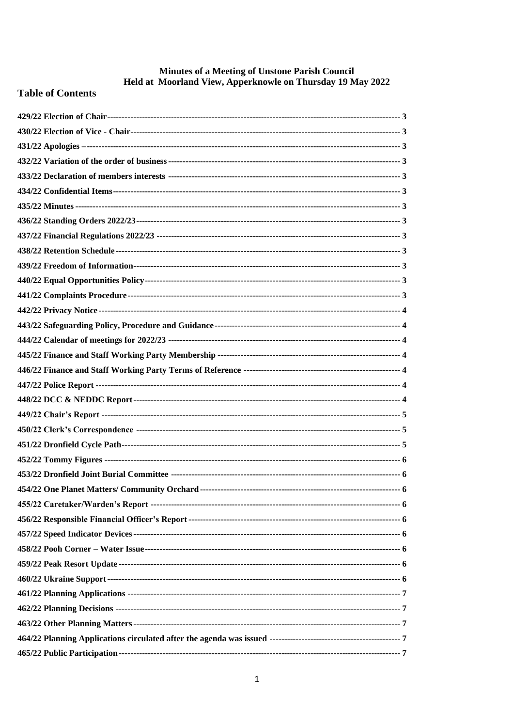# **Minutes of a Meeting of Unstone Parish Council<br>Held at Moorland View, Apperknowle on Thursday 19 May 2022**

# **Table of Contents**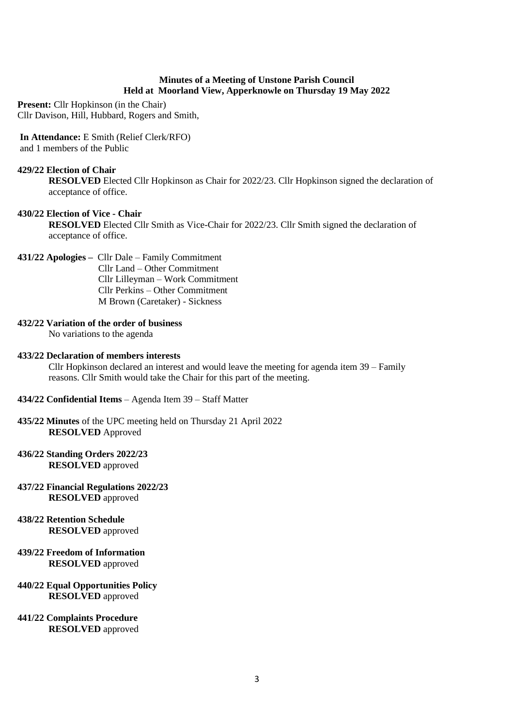#### **Minutes of a Meeting of Unstone Parish Council Held at Moorland View, Apperknowle on Thursday 19 May 2022**

**Present:** Cllr Hopkinson (in the Chair) Cllr Davison, Hill, Hubbard, Rogers and Smith,

#### **In Attendance:** E Smith (Relief Clerk/RFO) and 1 members of the Public

#### <span id="page-2-0"></span>**429/22 Election of Chair**

**RESOLVED** Elected Cllr Hopkinson as Chair for 2022/23. Cllr Hopkinson signed the declaration of acceptance of office.

#### <span id="page-2-1"></span>**430/22 Election of Vice - Chair**

**RESOLVED** Elected Cllr Smith as Vice-Chair for 2022/23. Cllr Smith signed the declaration of acceptance of office.

#### <span id="page-2-2"></span>**431/22 Apologies –** Cllr Dale – Family Commitment

 Cllr Land – Other Commitment Cllr Lilleyman – Work Commitment Cllr Perkins – Other Commitment M Brown (Caretaker) - Sickness

#### <span id="page-2-3"></span>**432/22 Variation of the order of business**

No variations to the agenda

#### <span id="page-2-4"></span>**433/22 Declaration of members interests**

Cllr Hopkinson declared an interest and would leave the meeting for agenda item 39 – Family reasons. Cllr Smith would take the Chair for this part of the meeting.

- <span id="page-2-5"></span>**434/22 Confidential Items** – Agenda Item 39 – Staff Matter
- <span id="page-2-6"></span>**435/22 Minutes** of the UPC meeting held on Thursday 21 April 2022 **RESOLVED** Approved

#### <span id="page-2-7"></span>**436/22 Standing Orders 2022/23 RESOLVED** approved

- <span id="page-2-8"></span>**437/22 Financial Regulations 2022/23 RESOLVED** approved
- <span id="page-2-9"></span>**438/22 Retention Schedule RESOLVED** approved
- <span id="page-2-10"></span>**439/22 Freedom of Information RESOLVED** approved

#### <span id="page-2-11"></span>**440/22 Equal Opportunities Policy RESOLVED** approved

<span id="page-2-12"></span>**441/22 Complaints Procedure RESOLVED** approved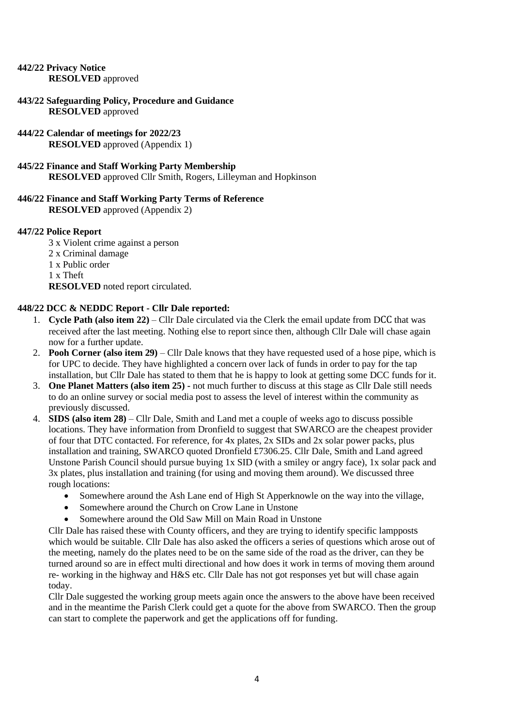#### <span id="page-3-0"></span>**442/22 Privacy Notice RESOLVED** approved

<span id="page-3-1"></span>**443/22 Safeguarding Policy, Procedure and Guidance RESOLVED** approved

<span id="page-3-2"></span>**444/22 Calendar of meetings for 2022/23 RESOLVED** approved (Appendix 1)

<span id="page-3-3"></span>**445/22 Finance and Staff Working Party Membership RESOLVED** approved Cllr Smith, Rogers, Lilleyman and Hopkinson

# <span id="page-3-4"></span>**446/22 Finance and Staff Working Party Terms of Reference**

**RESOLVED** approved (Appendix 2)

## <span id="page-3-5"></span>**447/22 Police Report**

3 x Violent crime against a person 2 x Criminal damage 1 x Public order 1 x Theft **RESOLVED** noted report circulated.

# <span id="page-3-6"></span>**448/22 DCC & NEDDC Report - Cllr Dale reported:**

- 1. **Cycle Path (also item 22)** Cllr Dale circulated via the Clerk the email update from DCC that was received after the last meeting. Nothing else to report since then, although Cllr Dale will chase again now for a further update.
- 2. **Pooh Corner (also item 29)**  Cllr Dale knows that they have requested used of a hose pipe, which is for UPC to decide. They have highlighted a concern over lack of funds in order to pay for the tap installation, but Cllr Dale has stated to them that he is happy to look at getting some DCC funds for it.
- 3. **One Planet Matters (also item 25) -** not much further to discuss at this stage as Cllr Dale still needs to do an online survey or social media post to assess the level of interest within the community as previously discussed.
- 4. **SIDS (also item 28)**  Cllr Dale, Smith and Land met a couple of weeks ago to discuss possible locations. They have information from Dronfield to suggest that SWARCO are the cheapest provider of four that DTC contacted. For reference, for 4x plates, 2x SIDs and 2x solar power packs, plus installation and training, SWARCO quoted Dronfield £7306.25. Cllr Dale, Smith and Land agreed Unstone Parish Council should pursue buying 1x SID (with a smiley or angry face), 1x solar pack and 3x plates, plus installation and training (for using and moving them around). We discussed three rough locations:
	- Somewhere around the Ash Lane end of High St Apperknowle on the way into the village,
	- Somewhere around the Church on Crow Lane in Unstone
	- Somewhere around the Old Saw Mill on Main Road in Unstone

Cllr Dale has raised these with County officers, and they are trying to identify specific lampposts which would be suitable. Cllr Dale has also asked the officers a series of questions which arose out of the meeting, namely do the plates need to be on the same side of the road as the driver, can they be turned around so are in effect multi directional and how does it work in terms of moving them around re- working in the highway and H&S etc. Cllr Dale has not got responses yet but will chase again today.

Cllr Dale suggested the working group meets again once the answers to the above have been received and in the meantime the Parish Clerk could get a quote for the above from SWARCO. Then the group can start to complete the paperwork and get the applications off for funding.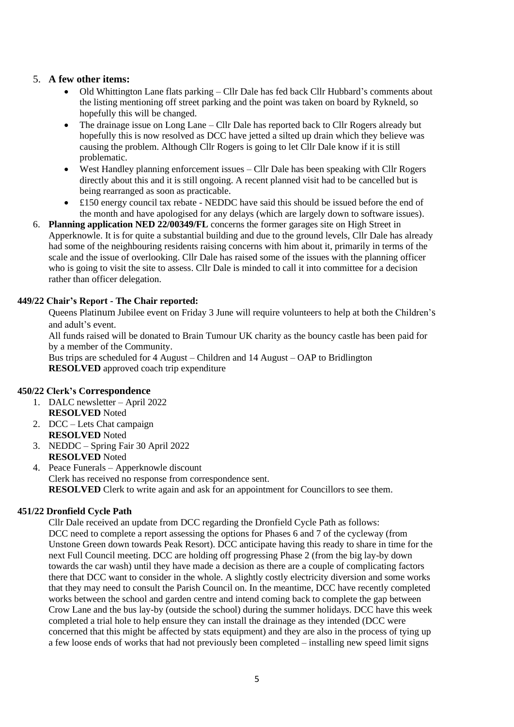## 5. **A few other items:**

- Old Whittington Lane flats parking Cllr Dale has fed back Cllr Hubbard's comments about the listing mentioning off street parking and the point was taken on board by Rykneld, so hopefully this will be changed.
- The drainage issue on Long Lane Cllr Dale has reported back to Cllr Rogers already but hopefully this is now resolved as DCC have jetted a silted up drain which they believe was causing the problem. Although Cllr Rogers is going to let Cllr Dale know if it is still problematic.
- West Handley planning enforcement issues Cllr Dale has been speaking with Cllr Rogers directly about this and it is still ongoing. A recent planned visit had to be cancelled but is being rearranged as soon as practicable.
- £150 energy council tax rebate NEDDC have said this should be issued before the end of the month and have apologised for any delays (which are largely down to software issues).
- 6. **Planning application NED 22/00349/FL** concerns the former garages site on High Street in Apperknowle. It is for quite a substantial building and due to the ground levels, Cllr Dale has already had some of the neighbouring residents raising concerns with him about it, primarily in terms of the scale and the issue of overlooking. Cllr Dale has raised some of the issues with the planning officer who is going to visit the site to assess. Cllr Dale is minded to call it into committee for a decision rather than officer delegation.

#### <span id="page-4-0"></span>**449/22 Chair's Report - The Chair reported:**

Queens Platinum Jubilee event on Friday 3 June will require volunteers to help at both the Children's and adult's event.

All funds raised will be donated to Brain Tumour UK charity as the bouncy castle has been paid for by a member of the Community.

Bus trips are scheduled for 4 August – Children and 14 August – OAP to Bridlington **RESOLVED** approved coach trip expenditure

#### <span id="page-4-1"></span>**450/22 Clerk's Correspondence**

- 1. DALC newsletter April 2022 **RESOLVED** Noted
- 2. DCC Lets Chat campaign **RESOLVED** Noted
- 3. NEDDC Spring Fair 30 April 2022 **RESOLVED** Noted
- 4. Peace Funerals Apperknowle discount Clerk has received no response from correspondence sent. **RESOLVED** Clerk to write again and ask for an appointment for Councillors to see them.

#### <span id="page-4-2"></span>**451/22 Dronfield Cycle Path**

Cllr Dale received an update from DCC regarding the Dronfield Cycle Path as follows: DCC need to complete a report assessing the options for Phases 6 and 7 of the cycleway (from Unstone Green down towards Peak Resort). DCC anticipate having this ready to share in time for the next Full Council meeting. DCC are holding off progressing Phase 2 (from the big lay-by down towards the car wash) until they have made a decision as there are a couple of complicating factors there that DCC want to consider in the whole. A slightly costly electricity diversion and some works that they may need to consult the Parish Council on. In the meantime, DCC have recently completed works between the school and garden centre and intend coming back to complete the gap between Crow Lane and the bus lay-by (outside the school) during the summer holidays. DCC have this week completed a trial hole to help ensure they can install the drainage as they intended (DCC were concerned that this might be affected by stats equipment) and they are also in the process of tying up a few loose ends of works that had not previously been completed – installing new speed limit signs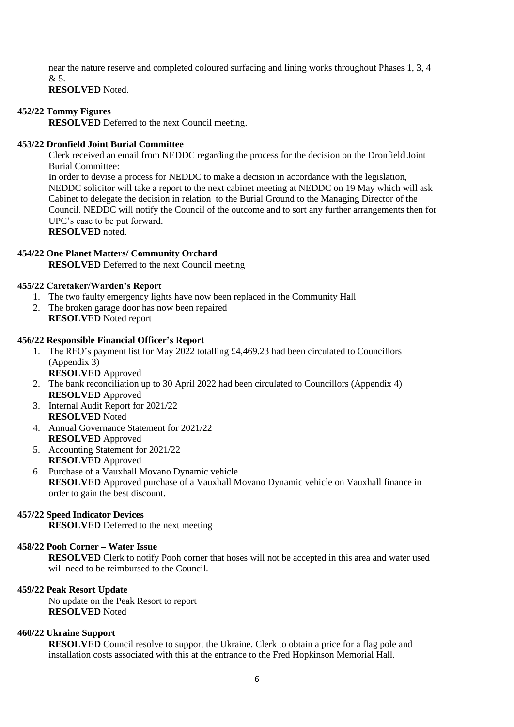near the nature reserve and completed coloured surfacing and lining works throughout Phases 1, 3, 4  $\mathcal{R}$  5.

#### **RESOLVED** Noted.

#### <span id="page-5-0"></span>**452/22 Tommy Figures**

**RESOLVED** Deferred to the next Council meeting.

#### <span id="page-5-1"></span>**453/22 Dronfield Joint Burial Committee**

Clerk received an email from NEDDC regarding the process for the decision on the Dronfield Joint Burial Committee:

In order to devise a process for NEDDC to make a decision in accordance with the legislation, NEDDC solicitor will take a report to the next cabinet meeting at NEDDC on 19 May which will ask Cabinet to delegate the decision in relation to the Burial Ground to the Managing Director of the Council. NEDDC will notify the Council of the outcome and to sort any further arrangements then for UPC's case to be put forward. **RESOLVED** noted.

## <span id="page-5-2"></span>**454/22 One Planet Matters/ Community Orchard**

**RESOLVED** Deferred to the next Council meeting

#### <span id="page-5-3"></span>**455/22 Caretaker/Warden's Report**

- 1. The two faulty emergency lights have now been replaced in the Community Hall
- 2. The broken garage door has now been repaired **RESOLVED** Noted report

#### <span id="page-5-4"></span>**456/22 Responsible Financial Officer's Report**

1. The RFO's payment list for May 2022 totalling £4,469.23 had been circulated to Councillors (Appendix 3)

**RESOLVED** Approved

- 2. The bank reconciliation up to 30 April 2022 had been circulated to Councillors (Appendix 4) **RESOLVED** Approved
- 3. Internal Audit Report for 2021/22 **RESOLVED** Noted
- 4. Annual Governance Statement for 2021/22 **RESOLVED** Approved
- 5. Accounting Statement for 2021/22 **RESOLVED** Approved
- 6. Purchase of a Vauxhall Movano Dynamic vehicle **RESOLVED** Approved purchase of a Vauxhall Movano Dynamic vehicle on Vauxhall finance in order to gain the best discount.

#### <span id="page-5-5"></span>**457/22 Speed Indicator Devices**

**RESOLVED** Deferred to the next meeting

#### <span id="page-5-6"></span>**458/22 Pooh Corner – Water Issue**

**RESOLVED** Clerk to notify Pooh corner that hoses will not be accepted in this area and water used will need to be reimbursed to the Council.

#### <span id="page-5-7"></span>**459/22 Peak Resort Update**

No update on the Peak Resort to report **RESOLVED** Noted

#### <span id="page-5-8"></span>**460/22 Ukraine Support**

**RESOLVED** Council resolve to support the Ukraine. Clerk to obtain a price for a flag pole and installation costs associated with this at the entrance to the Fred Hopkinson Memorial Hall.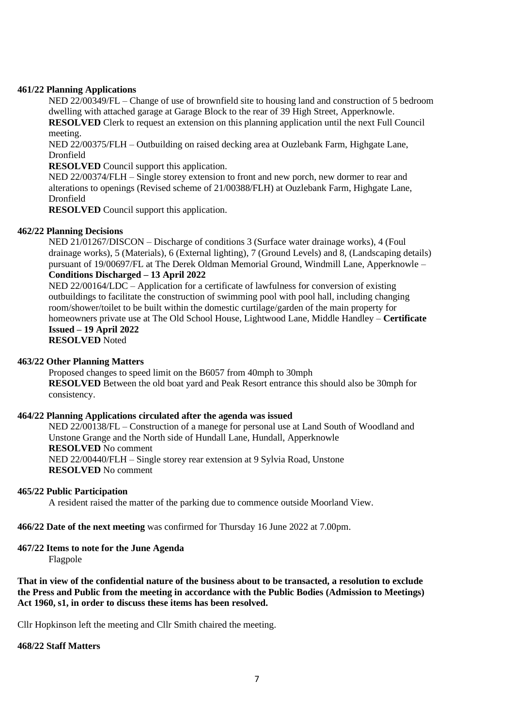#### <span id="page-6-0"></span>**461/22 Planning Applications**

NED 22/00349/FL – Change of use of brownfield site to housing land and construction of 5 bedroom dwelling with attached garage at Garage Block to the rear of 39 High Street, Apperknowle.

**RESOLVED** Clerk to request an extension on this planning application until the next Full Council meeting.

NED 22/00375/FLH – Outbuilding on raised decking area at Ouzlebank Farm, Highgate Lane, Dronfield

**RESOLVED** Council support this application.

NED 22/00374/FLH – Single storey extension to front and new porch, new dormer to rear and alterations to openings (Revised scheme of 21/00388/FLH) at Ouzlebank Farm, Highgate Lane, Dronfield

**RESOLVED** Council support this application.

#### <span id="page-6-1"></span>**462/22 Planning Decisions**

NED 21/01267/DISCON – Discharge of conditions 3 (Surface water drainage works), 4 (Foul drainage works), 5 (Materials), 6 (External lighting), 7 (Ground Levels) and 8, (Landscaping details) pursuant of 19/00697/FL at The Derek Oldman Memorial Ground, Windmill Lane, Apperknowle – **Conditions Discharged – 13 April 2022**

NED 22/00164/LDC – Application for a certificate of lawfulness for conversion of existing outbuildings to facilitate the construction of swimming pool with pool hall, including changing room/shower/toilet to be built within the domestic curtilage/garden of the main property for homeowners private use at The Old School House, Lightwood Lane, Middle Handley – **Certificate Issued – 19 April 2022 RESOLVED** Noted

#### <span id="page-6-2"></span>**463/22 Other Planning Matters**

Proposed changes to speed limit on the B6057 from 40mph to 30mph **RESOLVED** Between the old boat yard and Peak Resort entrance this should also be 30mph for consistency.

#### <span id="page-6-3"></span>**464/22 Planning Applications circulated after the agenda was issued**

NED 22/00138/FL – Construction of a manege for personal use at Land South of Woodland and Unstone Grange and the North side of Hundall Lane, Hundall, Apperknowle **RESOLVED** No comment NED 22/00440/FLH – Single storey rear extension at 9 Sylvia Road, Unstone **RESOLVED** No comment

#### <span id="page-6-4"></span>**465/22 Public Participation**

A resident raised the matter of the parking due to commence outside Moorland View.

<span id="page-6-5"></span>**466/22 Date of the next meeting** was confirmed for Thursday 16 June 2022 at 7.00pm.

#### <span id="page-6-6"></span>**467/22 Items to note for the June Agenda**

Flagpole

**That in view of the confidential nature of the business about to be transacted, a resolution to exclude the Press and Public from the meeting in accordance with the Public Bodies (Admission to Meetings) Act 1960, s1, in order to discuss these items has been resolved.**

<span id="page-6-7"></span>Cllr Hopkinson left the meeting and Cllr Smith chaired the meeting.

#### **468/22 Staff Matters**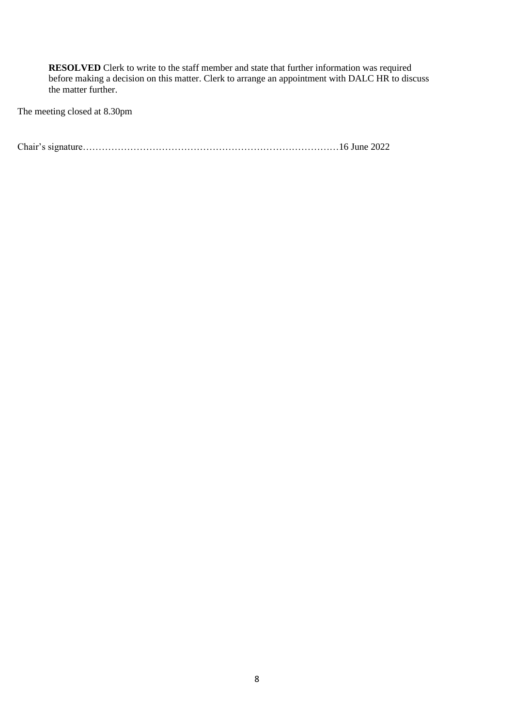**RESOLVED** Clerk to write to the staff member and state that further information was required before making a decision on this matter. Clerk to arrange an appointment with DALC HR to discuss the matter further.

The meeting closed at 8.30pm

Chair's signature………………………………………………………………………16 June 2022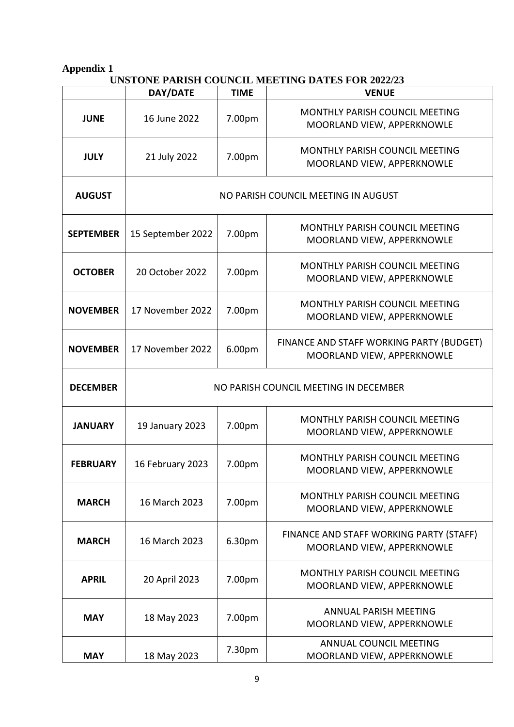# **UNSTONE PARISH COUNCIL MEETING DATES FOR 2022/23**

<span id="page-8-0"></span>

|                  | DAY/DATE                              | <b>TIME</b> | <b>VENUE</b>                                                           |  |  |
|------------------|---------------------------------------|-------------|------------------------------------------------------------------------|--|--|
| <b>JUNE</b>      | 16 June 2022                          | 7.00pm      | MONTHLY PARISH COUNCIL MEETING<br>MOORLAND VIEW, APPERKNOWLE           |  |  |
| <b>JULY</b>      | 21 July 2022                          | 7.00pm      | MONTHLY PARISH COUNCIL MEETING<br>MOORLAND VIEW, APPERKNOWLE           |  |  |
| <b>AUGUST</b>    | NO PARISH COUNCIL MEETING IN AUGUST   |             |                                                                        |  |  |
| <b>SEPTEMBER</b> | 15 September 2022                     | 7.00pm      | <b>MONTHLY PARISH COUNCIL MEETING</b><br>MOORLAND VIEW, APPERKNOWLE    |  |  |
| <b>OCTOBER</b>   | 20 October 2022                       | 7.00pm      | MONTHLY PARISH COUNCIL MEETING<br>MOORLAND VIEW, APPERKNOWLE           |  |  |
| <b>NOVEMBER</b>  | 17 November 2022                      | 7.00pm      | MONTHLY PARISH COUNCIL MEETING<br>MOORLAND VIEW, APPERKNOWLE           |  |  |
| <b>NOVEMBER</b>  | 17 November 2022                      | 6.00pm      | FINANCE AND STAFF WORKING PARTY (BUDGET)<br>MOORLAND VIEW, APPERKNOWLE |  |  |
| <b>DECEMBER</b>  | NO PARISH COUNCIL MEETING IN DECEMBER |             |                                                                        |  |  |
| <b>JANUARY</b>   | 19 January 2023                       | 7.00pm      | <b>MONTHLY PARISH COUNCIL MEETING</b><br>MOORLAND VIEW, APPERKNOWLE    |  |  |
| <b>FEBRUARY</b>  | 16 February 2023                      | 7.00pm      | MONTHLY PARISH COUNCIL MEETING<br>MOORLAND VIEW, APPERKNOWLE           |  |  |
| <b>MARCH</b>     | 16 March 2023                         | 7.00pm      | <b>MONTHLY PARISH COUNCIL MEETING</b><br>MOORLAND VIEW, APPERKNOWLE    |  |  |
| <b>MARCH</b>     | 16 March 2023                         | 6.30pm      | FINANCE AND STAFF WORKING PARTY (STAFF)<br>MOORLAND VIEW, APPERKNOWLE  |  |  |
| <b>APRIL</b>     | 20 April 2023                         | 7.00pm      | <b>MONTHLY PARISH COUNCIL MEETING</b><br>MOORLAND VIEW, APPERKNOWLE    |  |  |
| <b>MAY</b>       | 18 May 2023                           | 7.00pm      | ANNUAL PARISH MEETING<br>MOORLAND VIEW, APPERKNOWLE                    |  |  |
| <b>MAY</b>       | 18 May 2023                           | 7.30pm      | ANNUAL COUNCIL MEETING<br>MOORLAND VIEW, APPERKNOWLE                   |  |  |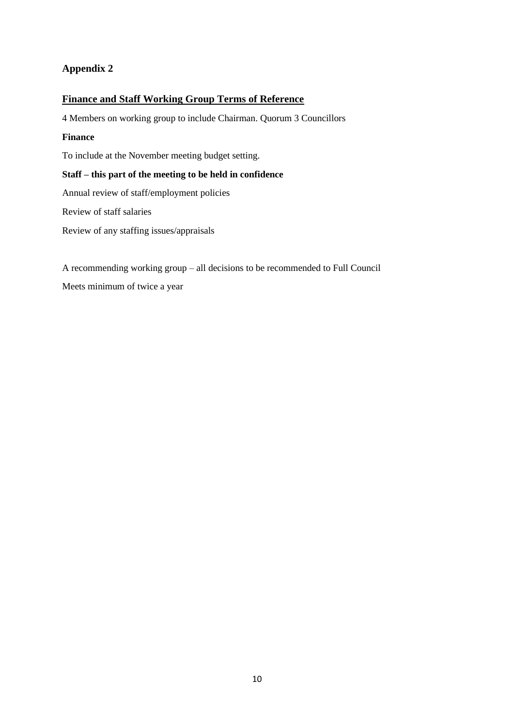## <span id="page-9-0"></span>**Finance and Staff Working Group Terms of Reference**

4 Members on working group to include Chairman. Quorum 3 Councillors

#### **Finance**

To include at the November meeting budget setting.

#### **Staff – this part of the meeting to be held in confidence**

Annual review of staff/employment policies

Review of staff salaries

Review of any staffing issues/appraisals

A recommending working group – all decisions to be recommended to Full Council Meets minimum of twice a year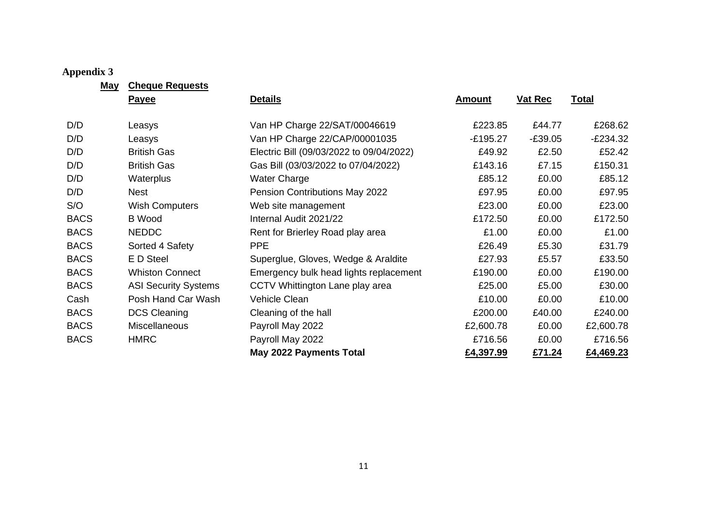**May Cheque Requests**

<span id="page-10-0"></span>

|             | <b>Payee</b>                | <b>Details</b>                           | <b>Amount</b> | <b>Vat Rec</b> | <b>Total</b> |
|-------------|-----------------------------|------------------------------------------|---------------|----------------|--------------|
| D/D         | Leasys                      | Van HP Charge 22/SAT/00046619            | £223.85       | £44.77         | £268.62      |
| D/D         | Leasys                      | Van HP Charge 22/CAP/00001035            | $-E195.27$    | $-£39.05$      | $-E234.32$   |
| D/D         | <b>British Gas</b>          | Electric Bill (09/03/2022 to 09/04/2022) | £49.92        | £2.50          | £52.42       |
| D/D         | <b>British Gas</b>          | Gas Bill (03/03/2022 to 07/04/2022)      | £143.16       | £7.15          | £150.31      |
| D/D         | Waterplus                   | <b>Water Charge</b>                      | £85.12        | £0.00          | £85.12       |
| D/D         | <b>Nest</b>                 | Pension Contributions May 2022           | £97.95        | £0.00          | £97.95       |
| S/O         | <b>Wish Computers</b>       | Web site management                      | £23.00        | £0.00          | £23.00       |
| <b>BACS</b> | <b>B</b> Wood               | Internal Audit 2021/22                   | £172.50       | £0.00          | £172.50      |
| <b>BACS</b> | <b>NEDDC</b>                | Rent for Brierley Road play area         | £1.00         | £0.00          | £1.00        |
| <b>BACS</b> | Sorted 4 Safety             | <b>PPE</b>                               | £26.49        | £5.30          | £31.79       |
| <b>BACS</b> | E D Steel                   | Superglue, Gloves, Wedge & Araldite      | £27.93        | £5.57          | £33.50       |
| <b>BACS</b> | <b>Whiston Connect</b>      | Emergency bulk head lights replacement   | £190.00       | £0.00          | £190.00      |
| <b>BACS</b> | <b>ASI Security Systems</b> | CCTV Whittington Lane play area          | £25.00        | £5.00          | £30.00       |
| Cash        | Posh Hand Car Wash          | Vehicle Clean                            | £10.00        | £0.00          | £10.00       |
| <b>BACS</b> | <b>DCS Cleaning</b>         | Cleaning of the hall                     | £200.00       | £40.00         | £240.00      |
| <b>BACS</b> | <b>Miscellaneous</b>        | Payroll May 2022                         | £2,600.78     | £0.00          | £2,600.78    |
| <b>BACS</b> | <b>HMRC</b>                 | Payroll May 2022                         | £716.56       | £0.00          | £716.56      |
|             |                             | May 2022 Payments Total                  | £4,397.99     | £71.24         | £4,469.23    |